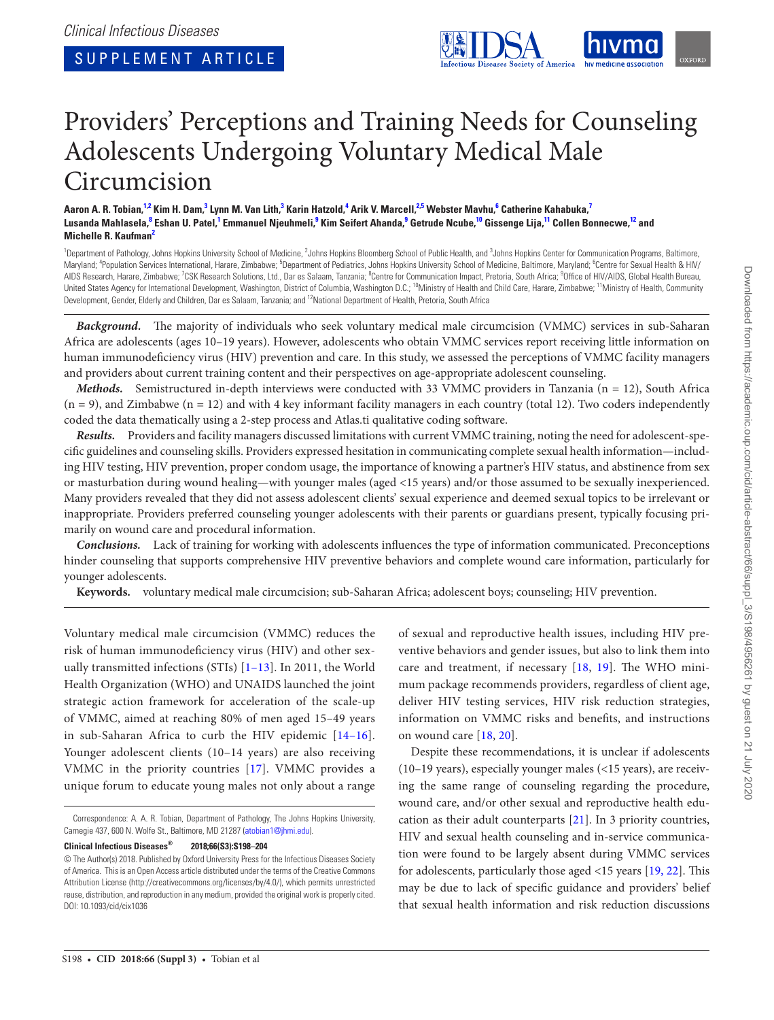

# Providers' Perceptions and Training Needs for Counseling Adolescents Undergoing Voluntary Medical Male Circumcision

#### Aaron A. R. Tobian,<sup>1,2</sup> Kim H. Dam,<sup>3</sup> Lynn M. Van Lith,<sup>3</sup> Karin Hatzold,<sup>4</sup> Arik V. Marcell,<sup>2,5</sup> Webster Mavhu,<sup>6</sup> Catherine Kahabuka,<sup>7</sup> Lusanda Mahlasela,<sup>8</sup> Eshan U. Patel,<sup>1</sup> Emmanuel Njeuhmeli,<sup>9</sup> Kim Seifert Ahanda,<sup>9</sup> Getrude Ncube,<sup>10</sup> Gissenge Lija,<sup>11</sup> Collen Bonnecwe,<sup>12</sup> and **Michelle R. Kaufman<sup>2</sup>**

<sup>1</sup>Department of Pathology, Johns Hopkins University School of Medicine, <sup>2</sup>Johns Hopkins Bloomberg School of Public Health, and <sup>3</sup>Johns Hopkins Center for Communication Programs, Baltimore, Maryland; <sup>4</sup>Population Services International, Harare, Zimbabwe; <sup>5</sup>Department of Pediatrics, Johns Hopkins University School of Medicine, Baltimore, Maryland; <sup>6</sup>Centre for Sexual Health & HIV, AIDS Research, Harare, Zimbabwe; <sup>7</sup>CSK Research Solutions, Ltd., Dar es Salaam, Tanzania; <sup>8</sup>Centre for Communication Impact, Pretoria, South Africa; <sup>9</sup>Office of HIV/AIDS, Global Health Bureau, United States Agency for International Development, Washington, District of Columbia, Washington D.C.; <sup>10</sup>Ministry of Health and Child Care, Harare, Zimbabwe; <sup>11</sup>Ministry of Health, Community Development, Gender, Elderly and Children, Dar es Salaam, Tanzania; and 12National Department of Health, Pretoria, South Africa

*Background.* The majority of individuals who seek voluntary medical male circumcision (VMMC) services in sub-Saharan Africa are adolescents (ages 10–19 years). However, adolescents who obtain VMMC services report receiving little information on human immunodeficiency virus (HIV) prevention and care. In this study, we assessed the perceptions of VMMC facility managers and providers about current training content and their perspectives on age-appropriate adolescent counseling.

*Methods.* Semistructured in-depth interviews were conducted with 33 VMMC providers in Tanzania (n = 12), South Africa  $(n = 9)$ , and Zimbabwe  $(n = 12)$  and with 4 key informant facility managers in each country (total 12). Two coders independently coded the data thematically using a 2-step process and Atlas.ti qualitative coding software.

*Results.* Providers and facility managers discussed limitations with current VMMC training, noting the need for adolescent-specific guidelines and counseling skills. Providers expressed hesitation in communicating complete sexual health information—including HIV testing, HIV prevention, proper condom usage, the importance of knowing a partner's HIV status, and abstinence from sex or masturbation during wound healing—with younger males (aged <15 years) and/or those assumed to be sexually inexperienced. Many providers revealed that they did not assess adolescent clients' sexual experience and deemed sexual topics to be irrelevant or inappropriate. Providers preferred counseling younger adolescents with their parents or guardians present, typically focusing primarily on wound care and procedural information.

*Conclusions.* Lack of training for working with adolescents influences the type of information communicated. Preconceptions hinder counseling that supports comprehensive HIV preventive behaviors and complete wound care information, particularly for younger adolescents.

**Keywords.** voluntary medical male circumcision; sub-Saharan Africa; adolescent boys; counseling; HIV prevention.

Voluntary medical male circumcision (VMMC) reduces the risk of human immunodeficiency virus (HIV) and other sexually transmitted infections (STIs) [1–13]. In 2011, the World Health Organization (WHO) and UNAIDS launched the joint strategic action framework for acceleration of the scale-up of VMMC, aimed at reaching 80% of men aged 15–49 years in sub-Saharan Africa to curb the HIV epidemic [14–16]. Younger adolescent clients (10–14 years) are also receiving VMMC in the priority countries [17]. VMMC provides a unique forum to educate young males not only about a range of sexual and reproductive health issues, including HIV preventive behaviors and gender issues, but also to link them into care and treatment, if necessary [18, 19]. The WHO minimum package recommends providers, regardless of client age, deliver HIV testing services, HIV risk reduction strategies, information on VMMC risks and benefits, and instructions on wound care [18, 20].

Despite these recommendations, it is unclear if adolescents (10–19 years), especially younger males (<15 years), are receiving the same range of counseling regarding the procedure, wound care, and/or other sexual and reproductive health education as their adult counterparts [21]. In 3 priority countries, HIV and sexual health counseling and in-service communication were found to be largely absent during VMMC services for adolescents, particularly those aged <15 years [19, 22]. This may be due to lack of specific guidance and providers' belief that sexual health information and risk reduction discussions

Correspondence: A. A. R. Tobian, Department of Pathology, The Johns Hopkins University, Carnegie 437, 600 N. Wolfe St., Baltimore, MD 21287 (atobian1@jhmi.edu).

**Clinical Infectious Diseases® 2018;66(S3):S198–204**

<sup>©</sup> The Author(s) 2018. Published by Oxford University Press for the Infectious Diseases Society of America. This is an Open Access article distributed under the terms of the Creative Commons Attribution License (http://creativecommons.org/licenses/by/4.0/), which permits unrestricted reuse, distribution, and reproduction in any medium, provided the original work is properly cited. DOI: 10.1093/cid/cix1036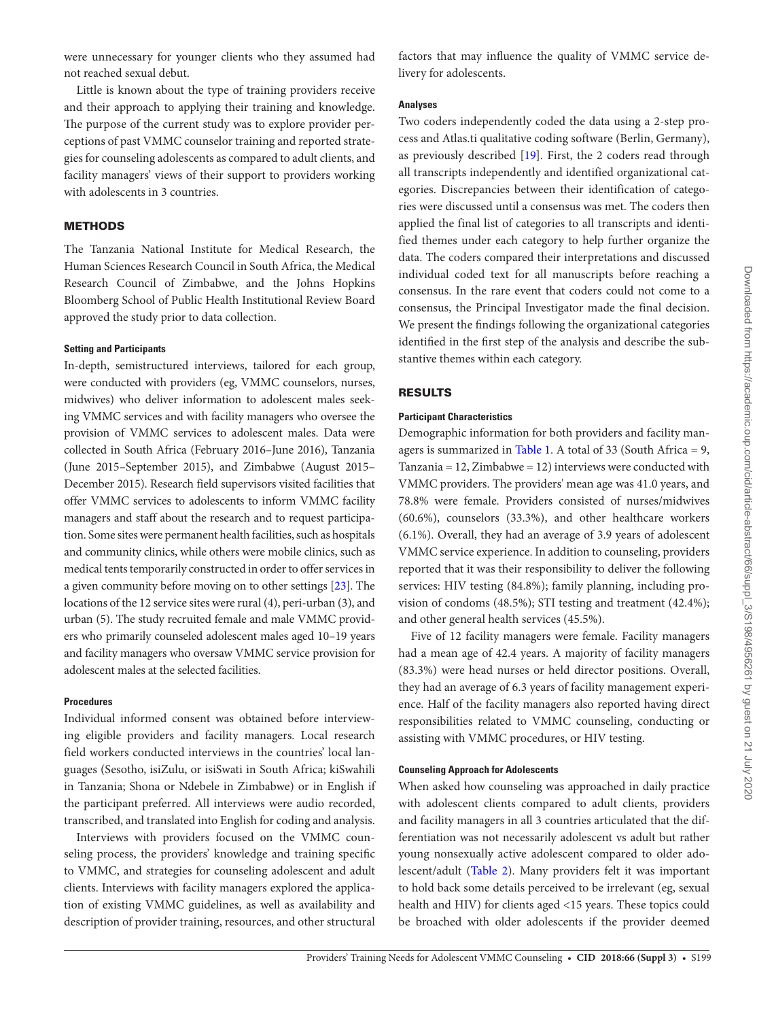were unnecessary for younger clients who they assumed had not reached sexual debut.

Little is known about the type of training providers receive and their approach to applying their training and knowledge. The purpose of the current study was to explore provider perceptions of past VMMC counselor training and reported strategies for counseling adolescents as compared to adult clients, and facility managers' views of their support to providers working with adolescents in 3 countries.

## **METHODS**

The Tanzania National Institute for Medical Research, the Human Sciences Research Council in South Africa, the Medical Research Council of Zimbabwe, and the Johns Hopkins Bloomberg School of Public Health Institutional Review Board approved the study prior to data collection.

## **Setting and Participants**

In-depth, semistructured interviews, tailored for each group, were conducted with providers (eg, VMMC counselors, nurses, midwives) who deliver information to adolescent males seeking VMMC services and with facility managers who oversee the provision of VMMC services to adolescent males. Data were collected in South Africa (February 2016–June 2016), Tanzania (June 2015–September 2015), and Zimbabwe (August 2015– December 2015). Research field supervisors visited facilities that offer VMMC services to adolescents to inform VMMC facility managers and staff about the research and to request participation. Some sites were permanent health facilities, such as hospitals and community clinics, while others were mobile clinics, such as medical tents temporarily constructed in order to offer services in a given community before moving on to other settings [23]. The locations of the 12 service sites were rural (4), peri-urban (3), and urban (5). The study recruited female and male VMMC providers who primarily counseled adolescent males aged 10–19 years and facility managers who oversaw VMMC service provision for adolescent males at the selected facilities.

## **Procedures**

Individual informed consent was obtained before interviewing eligible providers and facility managers. Local research field workers conducted interviews in the countries' local languages (Sesotho, isiZulu, or isiSwati in South Africa; kiSwahili in Tanzania; Shona or Ndebele in Zimbabwe) or in English if the participant preferred. All interviews were audio recorded, transcribed, and translated into English for coding and analysis.

Interviews with providers focused on the VMMC counseling process, the providers' knowledge and training specific to VMMC, and strategies for counseling adolescent and adult clients. Interviews with facility managers explored the application of existing VMMC guidelines, as well as availability and description of provider training, resources, and other structural

factors that may influence the quality of VMMC service delivery for adolescents.

#### **Analyses**

Two coders independently coded the data using a 2-step process and Atlas.ti qualitative coding software (Berlin, Germany), as previously described [19]. First, the 2 coders read through all transcripts independently and identified organizational categories. Discrepancies between their identification of categories were discussed until a consensus was met. The coders then applied the final list of categories to all transcripts and identified themes under each category to help further organize the data. The coders compared their interpretations and discussed individual coded text for all manuscripts before reaching a consensus. In the rare event that coders could not come to a consensus, the Principal Investigator made the final decision. We present the findings following the organizational categories identified in the first step of the analysis and describe the substantive themes within each category.

# RESULTS

#### **Participant Characteristics**

Demographic information for both providers and facility managers is summarized in Table 1. A total of 33 (South Africa = 9, Tanzania = 12, Zimbabwe = 12) interviews were conducted with VMMC providers. The providers' mean age was 41.0 years, and 78.8% were female. Providers consisted of nurses/midwives (60.6%), counselors (33.3%), and other healthcare workers (6.1%). Overall, they had an average of 3.9 years of adolescent VMMC service experience. In addition to counseling, providers reported that it was their responsibility to deliver the following services: HIV testing (84.8%); family planning, including provision of condoms (48.5%); STI testing and treatment (42.4%); and other general health services (45.5%).

Five of 12 facility managers were female. Facility managers had a mean age of 42.4 years. A majority of facility managers (83.3%) were head nurses or held director positions. Overall, they had an average of 6.3 years of facility management experience. Half of the facility managers also reported having direct responsibilities related to VMMC counseling, conducting or assisting with VMMC procedures, or HIV testing.

#### **Counseling Approach for Adolescents**

When asked how counseling was approached in daily practice with adolescent clients compared to adult clients, providers and facility managers in all 3 countries articulated that the differentiation was not necessarily adolescent vs adult but rather young nonsexually active adolescent compared to older adolescent/adult (Table 2). Many providers felt it was important to hold back some details perceived to be irrelevant (eg, sexual health and HIV) for clients aged <15 years. These topics could be broached with older adolescents if the provider deemed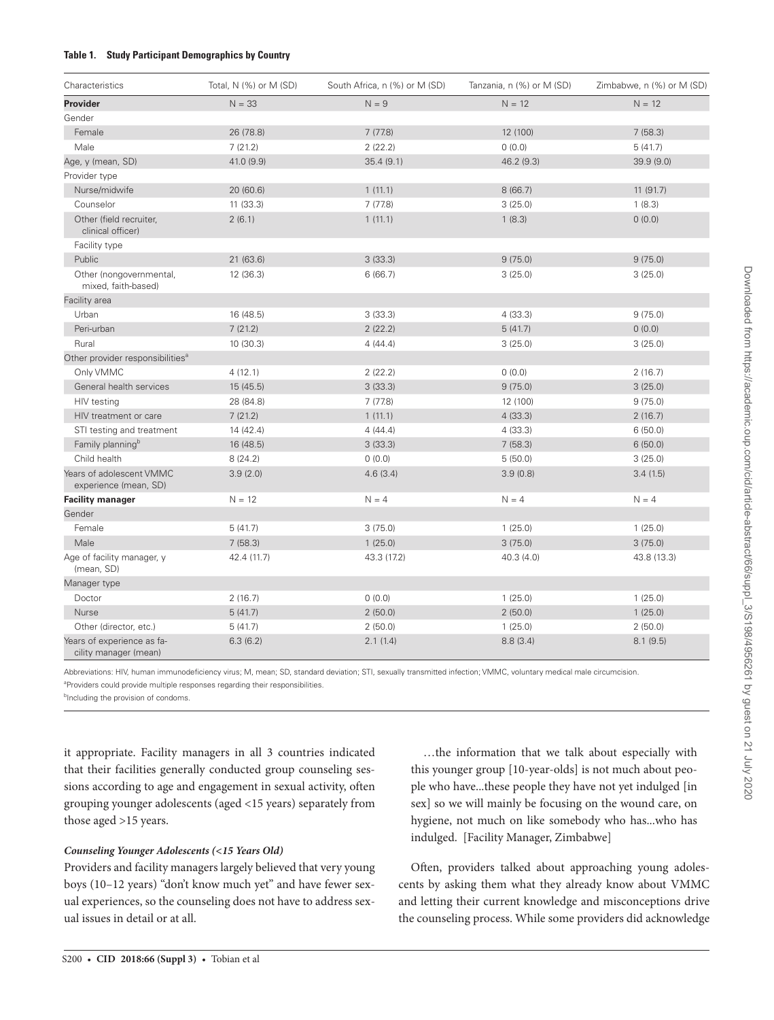#### **Table 1. Study Participant Demographics by Country**

| Characteristics                                     | Total, N (%) or M (SD)          | South Africa, n (%) or M (SD) | Tanzania, n (%) or M (SD) | Zimbabwe, n (%) or M (SD) |
|-----------------------------------------------------|---------------------------------|-------------------------------|---------------------------|---------------------------|
| Provider                                            | $N = 33$<br>$N = 9$<br>$N = 12$ |                               | $N = 12$                  |                           |
| Gender                                              |                                 |                               |                           |                           |
| Female                                              | 26 (78.8)                       | 7(77.8)                       | 12 (100)                  | 7(58.3)                   |
| Male                                                | 7(21.2)                         | 2(22.2)                       | 0(0.0)                    | 5(41.7)                   |
| Age, y (mean, SD)                                   | 41.0 (9.9)                      | 35.4(9.1)                     | 46.2 (9.3)                | 39.9(9.0)                 |
| Provider type                                       |                                 |                               |                           |                           |
| Nurse/midwife                                       | 20(60.6)                        | 1(11.1)                       | 8(66.7)                   | 11(91.7)                  |
| Counselor                                           | 11(33.3)                        | 7(77.8)                       | 3(25.0)                   | 1(8.3)                    |
| Other (field recruiter,<br>clinical officer)        | 2(6.1)                          | 1(11.1)                       | 1(8.3)                    | 0(0.0)                    |
| Facility type                                       |                                 |                               |                           |                           |
| Public                                              | 21(63.6)                        | 3(33.3)                       | 9(75.0)                   | 9(75.0)                   |
| Other (nongovernmental,<br>mixed, faith-based)      | 12 (36.3)                       | 6(66.7)                       | 3(25.0)                   | 3(25.0)                   |
| Facility area                                       |                                 |                               |                           |                           |
| Urban                                               | 16 (48.5)                       | 3(33.3)                       | 4(33.3)                   | 9(75.0)                   |
| Peri-urban                                          | 7(21.2)                         | 2(22.2)                       | 5(41.7)                   | 0(0.0)                    |
| Rural                                               | 10(30.3)                        | 4(44.4)                       | 3(25.0)                   | 3(25.0)                   |
| Other provider responsibilities <sup>a</sup>        |                                 |                               |                           |                           |
| Only VMMC                                           | 4(12.1)                         | 2(22.2)                       | 0(0.0)                    | 2(16.7)                   |
| General health services                             | 15(45.5)                        | 3(33.3)                       | 9(75.0)                   | 3(25.0)                   |
| HIV testing                                         | 28 (84.8)                       | 7(77.8)                       | 12 (100)                  | 9(75.0)                   |
| HIV treatment or care                               | 7(21.2)                         | 1(11.1)                       | 4(33.3)                   | 2(16.7)                   |
| STI testing and treatment                           | 14 (42.4)                       | 4(44.4)                       | 4(33.3)                   | 6(50.0)                   |
| Family planning <sup>b</sup>                        | 16(48.5)                        | 3(33.3)                       | 7(58.3)                   | 6(50.0)                   |
| Child health                                        | 8(24.2)                         | 0(0.0)                        | 5(50.0)                   | 3(25.0)                   |
| Years of adolescent VMMC<br>experience (mean, SD)   | 3.9(2.0)                        | 4.6(3.4)                      | 3.9(0.8)                  | 3.4(1.5)                  |
| <b>Facility manager</b>                             | $N = 12$                        | $N = 4$                       | $N = 4$                   | $N = 4$                   |
| Gender                                              |                                 |                               |                           |                           |
| Female                                              | 5(41.7)                         | 3(75.0)                       | 1(25.0)                   | 1(25.0)                   |
| Male                                                | 7(58.3)                         | 1(25.0)                       | 3(75.0)                   | 3(75.0)                   |
| Age of facility manager, y<br>(mean, SD)            | 42.4 (11.7)                     | 43.3 (17.2)                   | 40.3(4.0)                 | 43.8 (13.3)               |
| Manager type                                        |                                 |                               |                           |                           |
| Doctor                                              | 2(16.7)                         | 0(0.0)                        | 1(25.0)                   | 1(25.0)                   |
| Nurse                                               | 5(41.7)                         | 2(50.0)                       | 2(50.0)                   | 1(25.0)                   |
| Other (director, etc.)                              | 5(41.7)                         | 2(50.0)                       | 1(25.0)                   | 2(50.0)                   |
| Years of experience as fa-<br>cility manager (mean) | 6.3(6.2)                        | 2.1(1.4)                      | 8.8(3.4)                  | 8.1(9.5)                  |

Abbreviations: HIV, human immunodeficiency virus; M, mean; SD, standard deviation; STI, sexually transmitted infection; VMMC, voluntary medical male circumcision. <sup>a</sup>Providers could provide multiple responses regarding their responsibilities.

<sup>b</sup>Including the provision of condoms.

it appropriate. Facility managers in all 3 countries indicated that their facilities generally conducted group counseling sessions according to age and engagement in sexual activity, often grouping younger adolescents (aged <15 years) separately from those aged >15 years.

# *Counseling Younger Adolescents (<15 Years Old)*

Providers and facility managers largely believed that very young boys (10–12 years) "don't know much yet" and have fewer sexual experiences, so the counseling does not have to address sexual issues in detail or at all.

…the information that we talk about especially with this younger group [10-year-olds] is not much about people who have...these people they have not yet indulged [in sex] so we will mainly be focusing on the wound care, on hygiene, not much on like somebody who has...who has indulged. [Facility Manager, Zimbabwe]

Often, providers talked about approaching young adolescents by asking them what they already know about VMMC and letting their current knowledge and misconceptions drive the counseling process. While some providers did acknowledge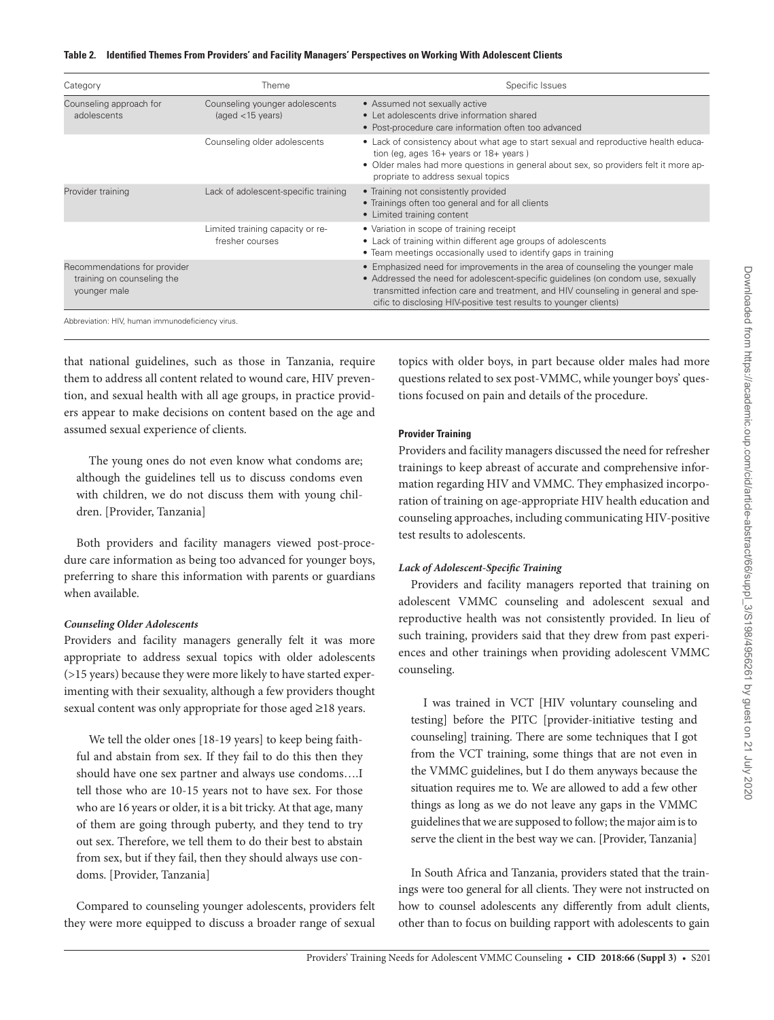|  | Table 2. Identified Themes From Providers' and Facility Managers' Perspectives on Working With Adolescent Clients |  |  |  |  |
|--|-------------------------------------------------------------------------------------------------------------------|--|--|--|--|
|--|-------------------------------------------------------------------------------------------------------------------|--|--|--|--|

| Theme                                                         | Specific Issues                                                                                                                                                                                                                                                                                                            |
|---------------------------------------------------------------|----------------------------------------------------------------------------------------------------------------------------------------------------------------------------------------------------------------------------------------------------------------------------------------------------------------------------|
| Counseling younger adolescents<br>$(aqed < 15 \text{ years})$ | • Assumed not sexually active<br>• Let adolescents drive information shared<br>• Post-procedure care information often too advanced                                                                                                                                                                                        |
| Counseling older adolescents                                  | • Lack of consistency about what age to start sexual and reproductive health educa-<br>tion (eg, ages $16+$ years or $18+$ years)<br>• Older males had more questions in general about sex, so providers felt it more ap-<br>propriate to address sexual topics                                                            |
| Lack of adolescent-specific training                          | • Training not consistently provided<br>• Trainings often too general and for all clients<br>• Limited training content                                                                                                                                                                                                    |
| Limited training capacity or re-<br>fresher courses           | • Variation in scope of training receipt<br>• Lack of training within different age groups of adolescents<br>• Team meetings occasionally used to identify gaps in training                                                                                                                                                |
|                                                               | • Emphasized need for improvements in the area of counseling the younger male<br>• Addressed the need for adolescent-specific quidelines (on condom use, sexually<br>transmitted infection care and treatment, and HIV counseling in general and spe-<br>cific to disclosing HIV-positive test results to younger clients) |
|                                                               |                                                                                                                                                                                                                                                                                                                            |

that national guidelines, such as those in Tanzania, require them to address all content related to wound care, HIV prevention, and sexual health with all age groups, in practice providers appear to make decisions on content based on the age and assumed sexual experience of clients.

The young ones do not even know what condoms are; although the guidelines tell us to discuss condoms even with children, we do not discuss them with young children. [Provider, Tanzania]

Both providers and facility managers viewed post-procedure care information as being too advanced for younger boys, preferring to share this information with parents or guardians when available.

# *Counseling Older Adolescents*

Providers and facility managers generally felt it was more appropriate to address sexual topics with older adolescents (>15 years) because they were more likely to have started experimenting with their sexuality, although a few providers thought sexual content was only appropriate for those aged ≥18 years.

We tell the older ones [18-19 years] to keep being faithful and abstain from sex. If they fail to do this then they should have one sex partner and always use condoms….I tell those who are 10-15 years not to have sex. For those who are 16 years or older, it is a bit tricky. At that age, many of them are going through puberty, and they tend to try out sex. Therefore, we tell them to do their best to abstain from sex, but if they fail, then they should always use condoms. [Provider, Tanzania]

Compared to counseling younger adolescents, providers felt they were more equipped to discuss a broader range of sexual topics with older boys, in part because older males had more questions related to sex post-VMMC, while younger boys' questions focused on pain and details of the procedure.

# **Provider Training**

Providers and facility managers discussed the need for refresher trainings to keep abreast of accurate and comprehensive information regarding HIV and VMMC. They emphasized incorporation of training on age-appropriate HIV health education and counseling approaches, including communicating HIV-positive test results to adolescents.

# *Lack of Adolescent-Specific Training*

Providers and facility managers reported that training on adolescent VMMC counseling and adolescent sexual and reproductive health was not consistently provided. In lieu of such training, providers said that they drew from past experiences and other trainings when providing adolescent VMMC counseling.

I was trained in VCT [HIV voluntary counseling and testing] before the PITC [provider-initiative testing and counseling] training. There are some techniques that I got from the VCT training, some things that are not even in the VMMC guidelines, but I do them anyways because the situation requires me to. We are allowed to add a few other things as long as we do not leave any gaps in the VMMC guidelines that we are supposed to follow; the major aim is to serve the client in the best way we can. [Provider, Tanzania]

In South Africa and Tanzania, providers stated that the trainings were too general for all clients. They were not instructed on how to counsel adolescents any differently from adult clients, other than to focus on building rapport with adolescents to gain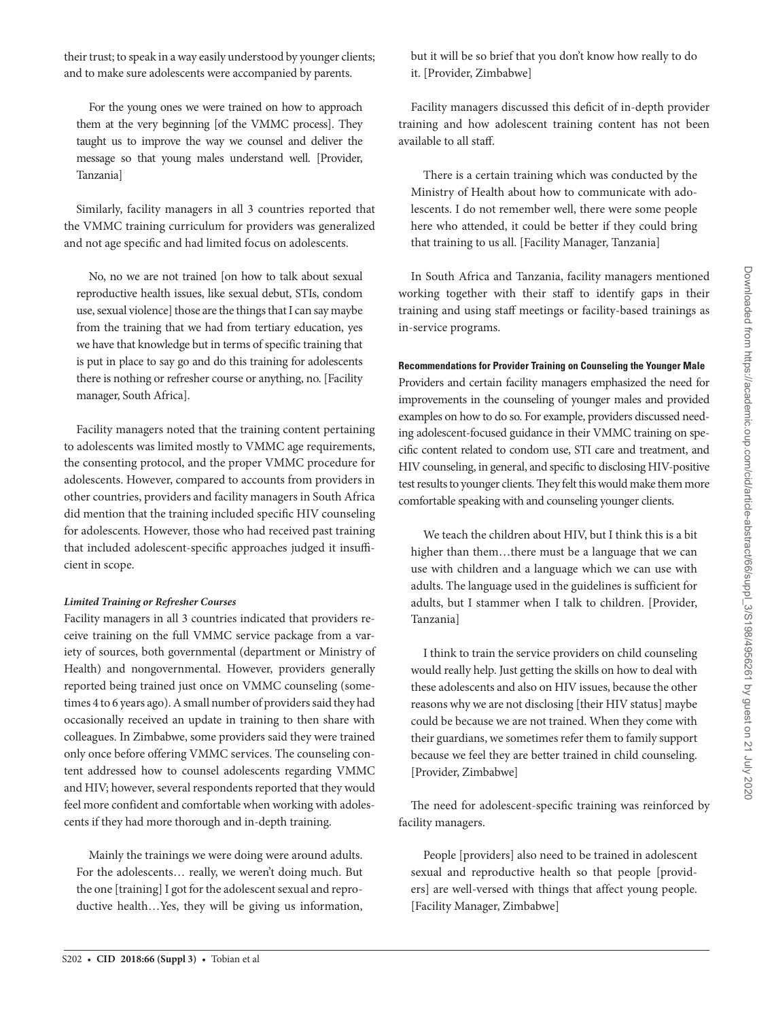their trust; to speak in a way easily understood by younger clients; and to make sure adolescents were accompanied by parents.

For the young ones we were trained on how to approach them at the very beginning [of the VMMC process]. They taught us to improve the way we counsel and deliver the message so that young males understand well. [Provider, Tanzania]

Similarly, facility managers in all 3 countries reported that the VMMC training curriculum for providers was generalized and not age specific and had limited focus on adolescents.

No, no we are not trained [on how to talk about sexual reproductive health issues, like sexual debut, STIs, condom use, sexual violence] those are the things that I can say maybe from the training that we had from tertiary education, yes we have that knowledge but in terms of specific training that is put in place to say go and do this training for adolescents there is nothing or refresher course or anything, no. [Facility manager, South Africa].

Facility managers noted that the training content pertaining to adolescents was limited mostly to VMMC age requirements, the consenting protocol, and the proper VMMC procedure for adolescents. However, compared to accounts from providers in other countries, providers and facility managers in South Africa did mention that the training included specific HIV counseling for adolescents. However, those who had received past training that included adolescent-specific approaches judged it insufficient in scope.

## *Limited Training or Refresher Courses*

Facility managers in all 3 countries indicated that providers receive training on the full VMMC service package from a variety of sources, both governmental (department or Ministry of Health) and nongovernmental. However, providers generally reported being trained just once on VMMC counseling (sometimes 4 to 6 years ago). A small number of providers said they had occasionally received an update in training to then share with colleagues. In Zimbabwe, some providers said they were trained only once before offering VMMC services. The counseling content addressed how to counsel adolescents regarding VMMC and HIV; however, several respondents reported that they would feel more confident and comfortable when working with adolescents if they had more thorough and in-depth training.

Mainly the trainings we were doing were around adults. For the adolescents… really, we weren't doing much. But the one [training] I got for the adolescent sexual and reproductive health…Yes, they will be giving us information, but it will be so brief that you don't know how really to do it. [Provider, Zimbabwe]

Facility managers discussed this deficit of in-depth provider training and how adolescent training content has not been available to all staff.

There is a certain training which was conducted by the Ministry of Health about how to communicate with adolescents. I do not remember well, there were some people here who attended, it could be better if they could bring that training to us all. [Facility Manager, Tanzania]

In South Africa and Tanzania, facility managers mentioned working together with their staff to identify gaps in their training and using staff meetings or facility-based trainings as in-service programs.

**Recommendations for Provider Training on Counseling the Younger Male** Providers and certain facility managers emphasized the need for improvements in the counseling of younger males and provided examples on how to do so. For example, providers discussed needing adolescent-focused guidance in their VMMC training on specific content related to condom use, STI care and treatment, and HIV counseling, in general, and specific to disclosing HIV-positive test results to younger clients. They felt this would make them more comfortable speaking with and counseling younger clients.

We teach the children about HIV, but I think this is a bit higher than them...there must be a language that we can use with children and a language which we can use with adults. The language used in the guidelines is sufficient for adults, but I stammer when I talk to children. [Provider, Tanzania]

I think to train the service providers on child counseling would really help. Just getting the skills on how to deal with these adolescents and also on HIV issues, because the other reasons why we are not disclosing [their HIV status] maybe could be because we are not trained. When they come with their guardians, we sometimes refer them to family support because we feel they are better trained in child counseling. [Provider, Zimbabwe]

The need for adolescent-specific training was reinforced by facility managers.

People [providers] also need to be trained in adolescent sexual and reproductive health so that people [providers] are well-versed with things that affect young people. [Facility Manager, Zimbabwe]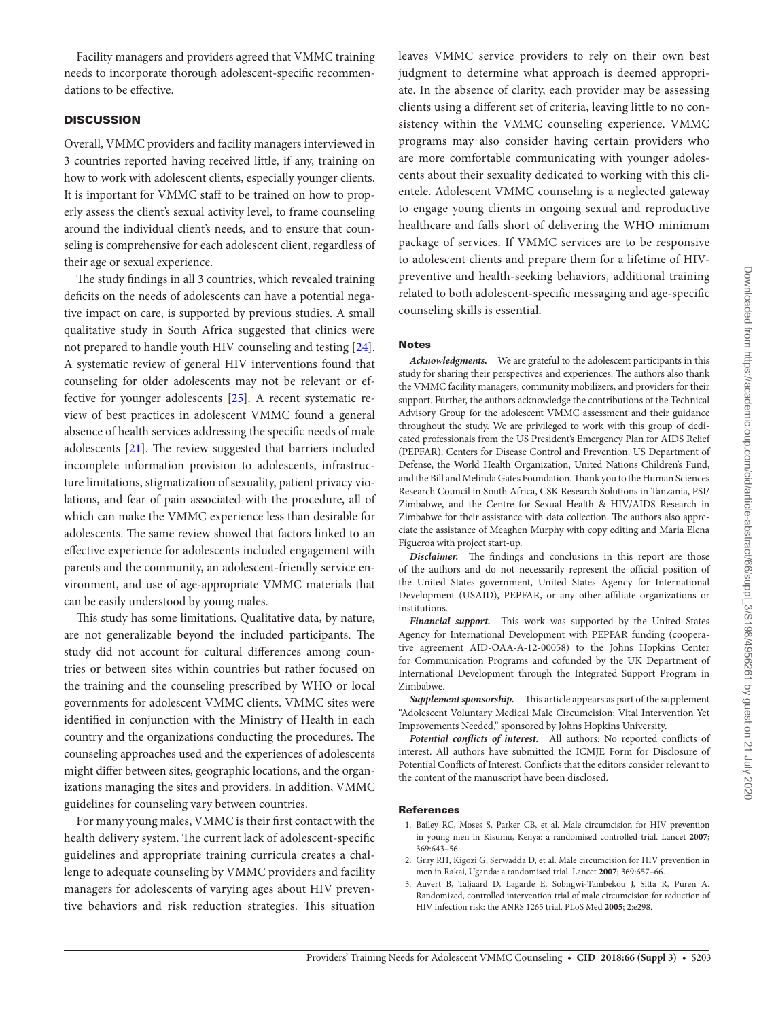Facility managers and providers agreed that VMMC training needs to incorporate thorough adolescent-specific recommendations to be effective.

# **DISCUSSION**

Overall, VMMC providers and facility managers interviewed in 3 countries reported having received little, if any, training on how to work with adolescent clients, especially younger clients. It is important for VMMC staff to be trained on how to properly assess the client's sexual activity level, to frame counseling around the individual client's needs, and to ensure that counseling is comprehensive for each adolescent client, regardless of their age or sexual experience.

The study findings in all 3 countries, which revealed training deficits on the needs of adolescents can have a potential negative impact on care, is supported by previous studies. A small qualitative study in South Africa suggested that clinics were not prepared to handle youth HIV counseling and testing [24]. A systematic review of general HIV interventions found that counseling for older adolescents may not be relevant or effective for younger adolescents [25]. A recent systematic review of best practices in adolescent VMMC found a general absence of health services addressing the specific needs of male adolescents [21]. The review suggested that barriers included incomplete information provision to adolescents, infrastructure limitations, stigmatization of sexuality, patient privacy violations, and fear of pain associated with the procedure, all of which can make the VMMC experience less than desirable for adolescents. The same review showed that factors linked to an effective experience for adolescents included engagement with parents and the community, an adolescent-friendly service environment, and use of age-appropriate VMMC materials that can be easily understood by young males.

This study has some limitations. Qualitative data, by nature, are not generalizable beyond the included participants. The study did not account for cultural differences among countries or between sites within countries but rather focused on the training and the counseling prescribed by WHO or local governments for adolescent VMMC clients. VMMC sites were identified in conjunction with the Ministry of Health in each country and the organizations conducting the procedures. The counseling approaches used and the experiences of adolescents might differ between sites, geographic locations, and the organizations managing the sites and providers. In addition, VMMC guidelines for counseling vary between countries.

For many young males, VMMC is their first contact with the health delivery system. The current lack of adolescent-specific guidelines and appropriate training curricula creates a challenge to adequate counseling by VMMC providers and facility managers for adolescents of varying ages about HIV preventive behaviors and risk reduction strategies. This situation leaves VMMC service providers to rely on their own best judgment to determine what approach is deemed appropriate. In the absence of clarity, each provider may be assessing clients using a different set of criteria, leaving little to no consistency within the VMMC counseling experience. VMMC programs may also consider having certain providers who are more comfortable communicating with younger adolescents about their sexuality dedicated to working with this clientele. Adolescent VMMC counseling is a neglected gateway to engage young clients in ongoing sexual and reproductive healthcare and falls short of delivering the WHO minimum package of services. If VMMC services are to be responsive to adolescent clients and prepare them for a lifetime of HIVpreventive and health-seeking behaviors, additional training related to both adolescent-specific messaging and age-specific counseling skills is essential.

# Notes

*Acknowledgments.* We are grateful to the adolescent participants in this study for sharing their perspectives and experiences. The authors also thank the VMMC facility managers, community mobilizers, and providers for their support. Further, the authors acknowledge the contributions of the Technical Advisory Group for the adolescent VMMC assessment and their guidance throughout the study. We are privileged to work with this group of dedicated professionals from the US President's Emergency Plan for AIDS Relief (PEPFAR), Centers for Disease Control and Prevention, US Department of Defense, the World Health Organization, United Nations Children's Fund, and the Bill and Melinda Gates Foundation. Thank you to the Human Sciences Research Council in South Africa, CSK Research Solutions in Tanzania, PSI/ Zimbabwe, and the Centre for Sexual Health & HIV/AIDS Research in Zimbabwe for their assistance with data collection. The authors also appreciate the assistance of Meaghen Murphy with copy editing and Maria Elena Figueroa with project start-up.

*Disclaimer.* The findings and conclusions in this report are those of the authors and do not necessarily represent the official position of the United States government, United States Agency for International Development (USAID), PEPFAR, or any other affiliate organizations or institutions.

*Financial support.* This work was supported by the United States Agency for International Development with PEPFAR funding (cooperative agreement AID-OAA-A-12-00058) to the Johns Hopkins Center for Communication Programs and cofunded by the UK Department of International Development through the Integrated Support Program in Zimbabwe.

*Supplement sponsorship.* This article appears as part of the supplement "Adolescent Voluntary Medical Male Circumcision: Vital Intervention Yet Improvements Needed," sponsored by Johns Hopkins University.

*Potential conflicts of interest.* All authors: No reported conflicts of interest. All authors have submitted the ICMJE Form for Disclosure of Potential Conflicts of Interest. Conflicts that the editors consider relevant to the content of the manuscript have been disclosed.

# References

- 1. Bailey RC, Moses S, Parker CB, et al. Male circumcision for HIV prevention in young men in Kisumu, Kenya: a randomised controlled trial. Lancet **2007**; 369:643–56.
- 2. Gray RH, Kigozi G, Serwadda D, et al. Male circumcision for HIV prevention in men in Rakai, Uganda: a randomised trial. Lancet **2007**; 369:657–66.
- 3. Auvert B, Taljaard D, Lagarde E, Sobngwi-Tambekou J, Sitta R, Puren A. Randomized, controlled intervention trial of male circumcision for reduction of HIV infection risk: the ANRS 1265 trial. PLoS Med **2005**; 2:e298.